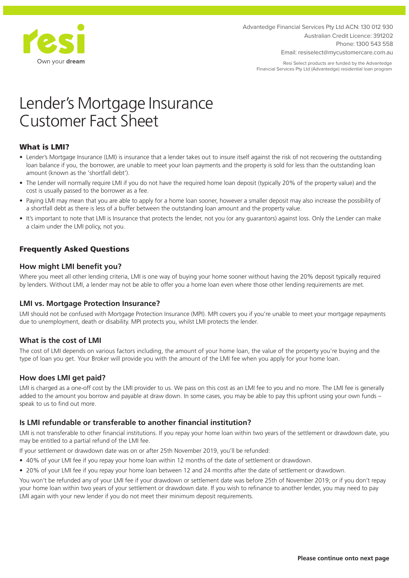

Advantedge Financial Services Pty Ltd ACN: 130 012 930 Australian Credit Licence: 391202 Phone: 1300 543 558 Email: resiselect@mycustomercare.com.au

Resi Select products are funded by the Advantedge Financial Services Pty Ltd (Advantedge) residential loan program

# Lender's Mortgage Insurance Customer Fact Sheet

# What is LMI?

- Lender's Mortgage Insurance (LMI) is insurance that a lender takes out to insure itself against the risk of not recovering the outstanding loan balance if you, the borrower, are unable to meet your loan payments and the property is sold for less than the outstanding loan amount (known as the 'shortfall debt').
- The Lender will normally require LMI if you do not have the required home loan deposit (typically 20% of the property value) and the cost is usually passed to the borrower as a fee.
- Paying LMI may mean that you are able to apply for a home loan sooner, however a smaller deposit may also increase the possibility of a shortfall debt as there is less of a buffer between the outstanding loan amount and the property value.
- It's important to note that LMI is Insurance that protects the lender, not you (or any guarantors) against loss. Only the Lender can make a claim under the LMI policy, not you.

# Frequently Asked Questions

## **How might LMI benefit you?**

Where you meet all other lending criteria, LMI is one way of buying your home sooner without having the 20% deposit typically required by lenders. Without LMI, a lender may not be able to offer you a home loan even where those other lending requirements are met.

#### **LMI vs. Mortgage Protection Insurance?**

LMI should not be confused with Mortgage Protection Insurance (MPI). MPI covers you if you're unable to meet your mortgage repayments due to unemployment, death or disability. MPI protects you, whilst LMI protects the lender.

#### **What is the cost of LMI**

The cost of LMI depends on various factors including, the amount of your home loan, the value of the property you're buying and the type of loan you get. Your Broker will provide you with the amount of the LMI fee when you apply for your home loan.

#### **How does LMI get paid?**

LMI is charged as a one-off cost by the LMI provider to us. We pass on this cost as an LMI fee to you and no more. The LMI fee is generally added to the amount you borrow and payable at draw down. In some cases, you may be able to pay this upfront using your own funds – speak to us to find out more.

#### **Is LMI refundable or transferable to another financial institution?**

LMI is not transferable to other financial institutions. If you repay your home loan within two years of the settlement or drawdown date, you may be entitled to a partial refund of the LMI fee.

If your settlement or drawdown date was on or after 25th November 2019, you'll be refunded:

- 40% of your LMI fee if you repay your home loan within 12 months of the date of settlement or drawdown.
- 20% of your LMI fee if you repay your home loan between 12 and 24 months after the date of settlement or drawdown.

You won't be refunded any of your LMI fee if your drawdown or settlement date was before 25th of November 2019; or if you don't repay your home loan within two years of your settlement or drawdown date. If you wish to refinance to another lender, you may need to pay LMI again with your new lender if you do not meet their minimum deposit requirements.